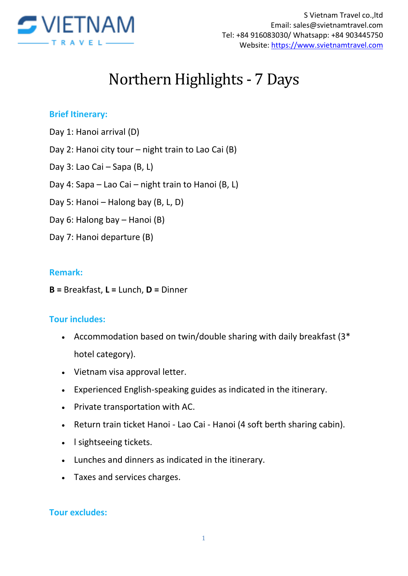

# Northern Highlights - 7 Days

## **Brief Itinerary:**

- Day 1: Hanoi arrival (D)
- Day 2: Hanoi city tour night train to Lao Cai (B)
- Day 3: Lao Cai Sapa (B, L)
- Day 4: Sapa Lao Cai night train to Hanoi (B, L)
- Day 5: Hanoi Halong bay (B, L, D)
- Day 6: Halong bay Hanoi (B)
- Day 7: Hanoi departure (B)

### **Remark:**

**B =** Breakfast, **L =** Lunch, **D =** Dinner

## **Tour includes:**

- Accommodation based on twin/double sharing with daily breakfast (3\* hotel category).
- Vietnam visa approval letter.
- Experienced English-speaking guides as indicated in the itinerary.
- Private transportation with AC.
- Return train ticket Hanoi Lao Cai Hanoi (4 soft berth sharing cabin).
- I sightseeing tickets.
- Lunches and dinners as indicated in the itinerary.
- Taxes and services charges.

#### **Tour excludes:**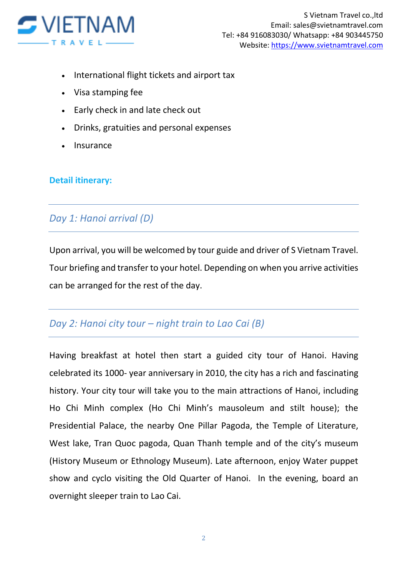

- International flight tickets and airport tax
- Visa stamping fee
- Early check in and late check out
- Drinks, gratuities and personal expenses
- Insurance

### **Detail itinerary:**

## *Day 1: Hanoi arrival (D)*

Upon arrival, you will be welcomed by tour guide and driver of S Vietnam Travel. Tour briefing and transfer to your hotel. Depending on when you arrive activities can be arranged for the rest of the day.

## *Day 2: Hanoi city tour – night train to Lao Cai (B)*

Having breakfast at hotel then start a guided city tour of Hanoi. Having celebrated its 1000- year anniversary in 2010, the city has a rich and fascinating history. Your city tour will take you to the main attractions of Hanoi, including Ho Chi Minh complex (Ho Chi Minh's mausoleum and stilt house); the Presidential Palace, the nearby One Pillar Pagoda, the Temple of Literature, West lake, Tran Quoc pagoda, Quan Thanh temple and of the city's museum (History Museum or Ethnology Museum). Late afternoon, enjoy Water puppet show and cyclo visiting the Old Quarter of Hanoi. In the evening, board an overnight sleeper train to Lao Cai.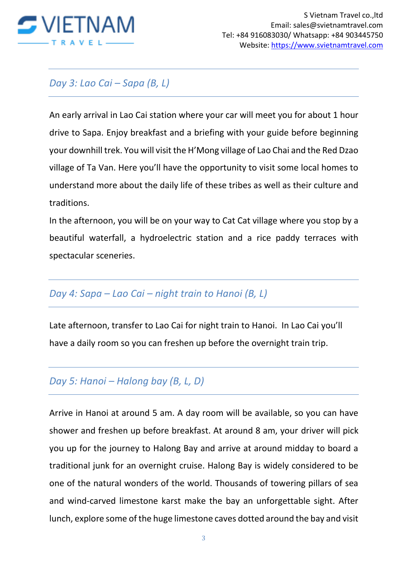

# *Day 3: Lao Cai – Sapa (B, L)*

An early arrival in Lao Cai station where your car will meet you for about 1 hour drive to Sapa. Enjoy breakfast and a briefing with your guide before beginning your downhill trek. You will visit the H'Mong village of Lao Chai and the Red Dzao village of Ta Van. Here you'll have the opportunity to visit some local homes to understand more about the daily life of these tribes as well as their culture and traditions.

In the afternoon, you will be on your way to Cat Cat village where you stop by a beautiful waterfall, a hydroelectric station and a rice paddy terraces with spectacular sceneries.

# *Day 4: Sapa – Lao Cai – night train to Hanoi (B, L)*

Late afternoon, transfer to Lao Cai for night train to Hanoi. In Lao Cai you'll have a daily room so you can freshen up before the overnight train trip.

# *Day 5: Hanoi – Halong bay (B, L, D)*

Arrive in Hanoi at around 5 am. A day room will be available, so you can have shower and freshen up before breakfast. At around 8 am, your driver will pick you up for the journey to Halong Bay and arrive at around midday to board a traditional junk for an overnight cruise. Halong Bay is widely considered to be one of the natural wonders of the world. Thousands of towering pillars of sea and wind-carved limestone karst make the bay an unforgettable sight. After lunch, explore some of the huge limestone caves dotted around the bay and visit